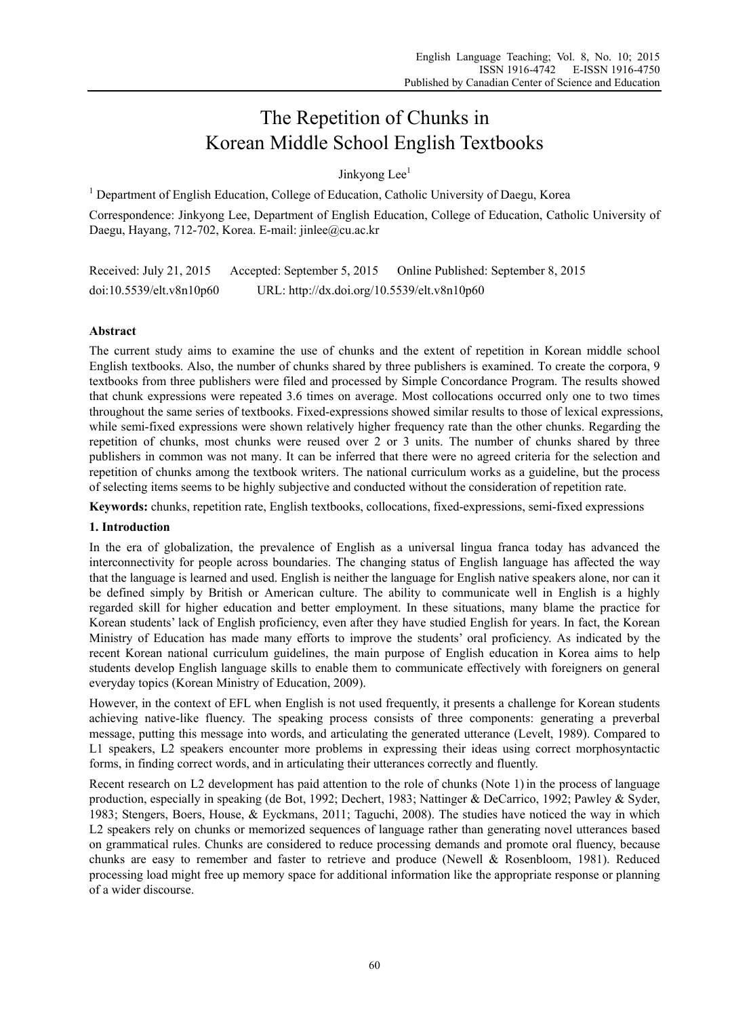# The Repetition of Chunks in Korean Middle School English Textbooks

Jinkyong Lee<sup>1</sup>

<sup>1</sup> Department of English Education, College of Education, Catholic University of Daegu, Korea

Correspondence: Jinkyong Lee, Department of English Education, College of Education, Catholic University of Daegu, Hayang, 712-702, Korea. E-mail: jinlee@cu.ac.kr

Received: July 21, 2015 Accepted: September 5, 2015 Online Published: September 8, 2015 doi:10.5539/elt.v8n10p60 URL: http://dx.doi.org/10.5539/elt.v8n10p60

# **Abstract**

The current study aims to examine the use of chunks and the extent of repetition in Korean middle school English textbooks. Also, the number of chunks shared by three publishers is examined. To create the corpora, 9 textbooks from three publishers were filed and processed by Simple Concordance Program. The results showed that chunk expressions were repeated 3.6 times on average. Most collocations occurred only one to two times throughout the same series of textbooks. Fixed-expressions showed similar results to those of lexical expressions, while semi-fixed expressions were shown relatively higher frequency rate than the other chunks. Regarding the repetition of chunks, most chunks were reused over 2 or 3 units. The number of chunks shared by three publishers in common was not many. It can be inferred that there were no agreed criteria for the selection and repetition of chunks among the textbook writers. The national curriculum works as a guideline, but the process of selecting items seems to be highly subjective and conducted without the consideration of repetition rate.

**Keywords:** chunks, repetition rate, English textbooks, collocations, fixed-expressions, semi-fixed expressions

# **1. Introduction**

In the era of globalization, the prevalence of English as a universal lingua franca today has advanced the interconnectivity for people across boundaries. The changing status of English language has affected the way that the language is learned and used. English is neither the language for English native speakers alone, nor can it be defined simply by British or American culture. The ability to communicate well in English is a highly regarded skill for higher education and better employment. In these situations, many blame the practice for Korean students' lack of English proficiency, even after they have studied English for years. In fact, the Korean Ministry of Education has made many efforts to improve the students' oral proficiency. As indicated by the recent Korean national curriculum guidelines, the main purpose of English education in Korea aims to help students develop English language skills to enable them to communicate effectively with foreigners on general everyday topics (Korean Ministry of Education, 2009).

However, in the context of EFL when English is not used frequently, it presents a challenge for Korean students achieving native-like fluency. The speaking process consists of three components: generating a preverbal message, putting this message into words, and articulating the generated utterance (Levelt, 1989). Compared to L1 speakers, L2 speakers encounter more problems in expressing their ideas using correct morphosyntactic forms, in finding correct words, and in articulating their utterances correctly and fluently.

Recent research on L2 development has paid attention to the role of chunks (Note 1) in the process of language production, especially in speaking (de Bot, 1992; Dechert, 1983; Nattinger & DeCarrico, 1992; Pawley & Syder, 1983; Stengers, Boers, House, & Eyckmans, 2011; Taguchi, 2008). The studies have noticed the way in which L2 speakers rely on chunks or memorized sequences of language rather than generating novel utterances based on grammatical rules. Chunks are considered to reduce processing demands and promote oral fluency, because chunks are easy to remember and faster to retrieve and produce (Newell & Rosenbloom, 1981). Reduced processing load might free up memory space for additional information like the appropriate response or planning of a wider discourse.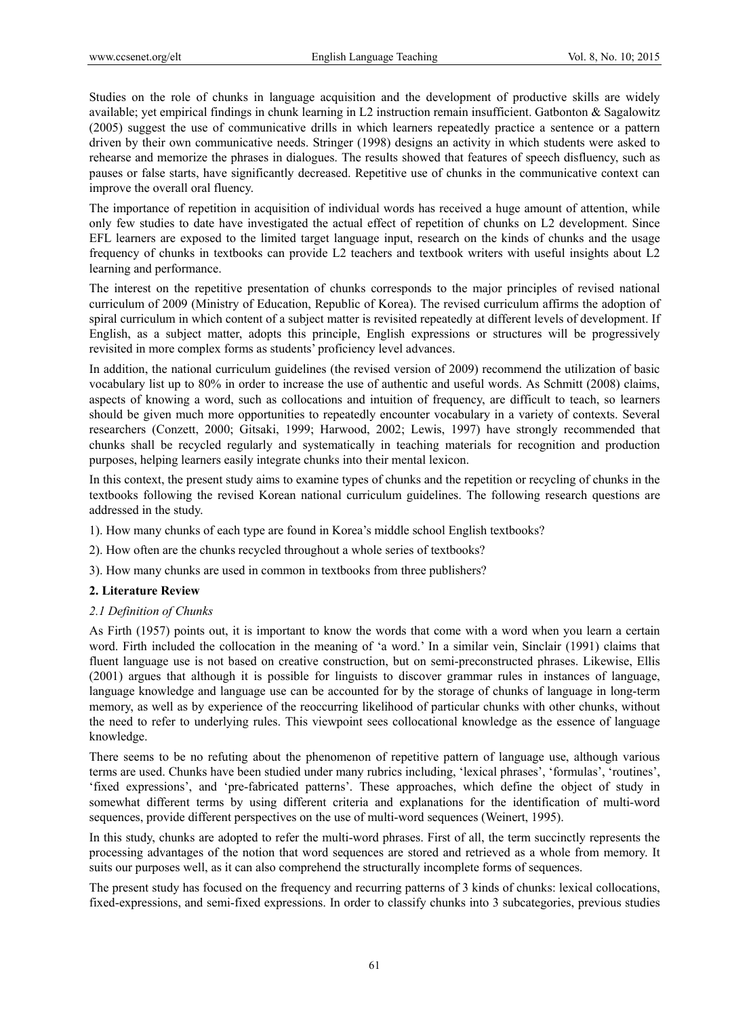Studies on the role of chunks in language acquisition and the development of productive skills are widely available; yet empirical findings in chunk learning in L2 instruction remain insufficient. Gatbonton & Sagalowitz (2005) suggest the use of communicative drills in which learners repeatedly practice a sentence or a pattern driven by their own communicative needs. Stringer (1998) designs an activity in which students were asked to rehearse and memorize the phrases in dialogues. The results showed that features of speech disfluency, such as pauses or false starts, have significantly decreased. Repetitive use of chunks in the communicative context can improve the overall oral fluency.

The importance of repetition in acquisition of individual words has received a huge amount of attention, while only few studies to date have investigated the actual effect of repetition of chunks on L2 development. Since EFL learners are exposed to the limited target language input, research on the kinds of chunks and the usage frequency of chunks in textbooks can provide L2 teachers and textbook writers with useful insights about L2 learning and performance.

The interest on the repetitive presentation of chunks corresponds to the major principles of revised national curriculum of 2009 (Ministry of Education, Republic of Korea). The revised curriculum affirms the adoption of spiral curriculum in which content of a subject matter is revisited repeatedly at different levels of development. If English, as a subject matter, adopts this principle, English expressions or structures will be progressively revisited in more complex forms as students' proficiency level advances.

In addition, the national curriculum guidelines (the revised version of 2009) recommend the utilization of basic vocabulary list up to 80% in order to increase the use of authentic and useful words. As Schmitt (2008) claims, aspects of knowing a word, such as collocations and intuition of frequency, are difficult to teach, so learners should be given much more opportunities to repeatedly encounter vocabulary in a variety of contexts. Several researchers (Conzett, 2000; Gitsaki, 1999; Harwood, 2002; Lewis, 1997) have strongly recommended that chunks shall be recycled regularly and systematically in teaching materials for recognition and production purposes, helping learners easily integrate chunks into their mental lexicon.

In this context, the present study aims to examine types of chunks and the repetition or recycling of chunks in the textbooks following the revised Korean national curriculum guidelines. The following research questions are addressed in the study.

- 1). How many chunks of each type are found in Korea's middle school English textbooks?
- 2). How often are the chunks recycled throughout a whole series of textbooks?
- 3). How many chunks are used in common in textbooks from three publishers?

# **2. Literature Review**

#### *2.1 Definition of Chunks*

As Firth (1957) points out, it is important to know the words that come with a word when you learn a certain word. Firth included the collocation in the meaning of 'a word.' In a similar vein, Sinclair (1991) claims that fluent language use is not based on creative construction, but on semi-preconstructed phrases. Likewise, Ellis (2001) argues that although it is possible for linguists to discover grammar rules in instances of language, language knowledge and language use can be accounted for by the storage of chunks of language in long-term memory, as well as by experience of the reoccurring likelihood of particular chunks with other chunks, without the need to refer to underlying rules. This viewpoint sees collocational knowledge as the essence of language knowledge.

There seems to be no refuting about the phenomenon of repetitive pattern of language use, although various terms are used. Chunks have been studied under many rubrics including, 'lexical phrases', 'formulas', 'routines', 'fixed expressions', and 'pre-fabricated patterns'. These approaches, which define the object of study in somewhat different terms by using different criteria and explanations for the identification of multi-word sequences, provide different perspectives on the use of multi-word sequences (Weinert, 1995).

In this study, chunks are adopted to refer the multi-word phrases. First of all, the term succinctly represents the processing advantages of the notion that word sequences are stored and retrieved as a whole from memory. It suits our purposes well, as it can also comprehend the structurally incomplete forms of sequences.

The present study has focused on the frequency and recurring patterns of 3 kinds of chunks: lexical collocations, fixed-expressions, and semi-fixed expressions. In order to classify chunks into 3 subcategories, previous studies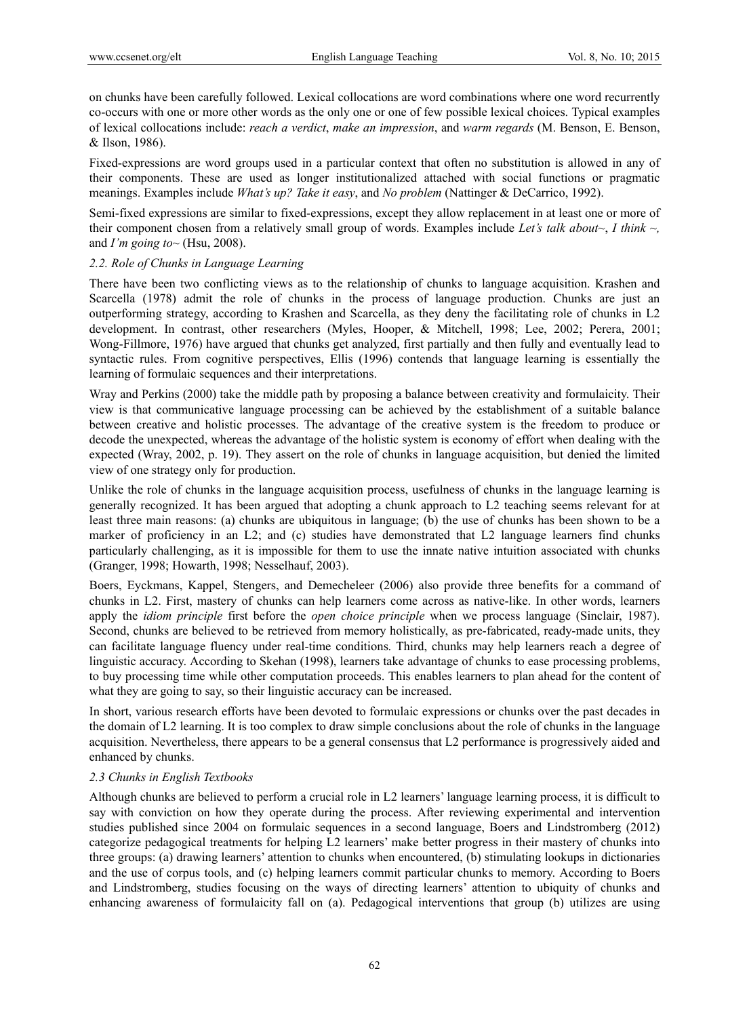on chunks have been carefully followed. Lexical collocations are word combinations where one word recurrently co-occurs with one or more other words as the only one or one of few possible lexical choices. Typical examples of lexical collocations include: *reach a verdict*, *make an impression*, and *warm regards* (M. Benson, E. Benson, & Ilson, 1986).

Fixed-expressions are word groups used in a particular context that often no substitution is allowed in any of their components. These are used as longer institutionalized attached with social functions or pragmatic meanings. Examples include *What's up? Take it easy*, and *No problem* (Nattinger & DeCarrico, 1992).

Semi-fixed expressions are similar to fixed-expressions, except they allow replacement in at least one or more of their component chosen from a relatively small group of words. Examples include *Let's talk about~*, *I think ~,* and *I'm going to~* (Hsu, 2008).

# *2.2. Role of Chunks in Language Learning*

There have been two conflicting views as to the relationship of chunks to language acquisition. Krashen and Scarcella (1978) admit the role of chunks in the process of language production. Chunks are just an outperforming strategy, according to Krashen and Scarcella, as they deny the facilitating role of chunks in L2 development. In contrast, other researchers (Myles, Hooper, & Mitchell, 1998; Lee, 2002; Perera, 2001; Wong-Fillmore, 1976) have argued that chunks get analyzed, first partially and then fully and eventually lead to syntactic rules. From cognitive perspectives, Ellis (1996) contends that language learning is essentially the learning of formulaic sequences and their interpretations.

Wray and Perkins (2000) take the middle path by proposing a balance between creativity and formulaicity. Their view is that communicative language processing can be achieved by the establishment of a suitable balance between creative and holistic processes. The advantage of the creative system is the freedom to produce or decode the unexpected, whereas the advantage of the holistic system is economy of effort when dealing with the expected (Wray, 2002, p. 19). They assert on the role of chunks in language acquisition, but denied the limited view of one strategy only for production.

Unlike the role of chunks in the language acquisition process, usefulness of chunks in the language learning is generally recognized. It has been argued that adopting a chunk approach to L2 teaching seems relevant for at least three main reasons: (a) chunks are ubiquitous in language; (b) the use of chunks has been shown to be a marker of proficiency in an L2; and (c) studies have demonstrated that L2 language learners find chunks particularly challenging, as it is impossible for them to use the innate native intuition associated with chunks (Granger, 1998; Howarth, 1998; Nesselhauf, 2003).

Boers, Eyckmans, Kappel, Stengers, and Demecheleer (2006) also provide three benefits for a command of chunks in L2. First, mastery of chunks can help learners come across as native-like. In other words, learners apply the *idiom principle* first before the *open choice principle* when we process language (Sinclair, 1987). Second, chunks are believed to be retrieved from memory holistically, as pre-fabricated, ready-made units, they can facilitate language fluency under real-time conditions. Third, chunks may help learners reach a degree of linguistic accuracy. According to Skehan (1998), learners take advantage of chunks to ease processing problems, to buy processing time while other computation proceeds. This enables learners to plan ahead for the content of what they are going to say, so their linguistic accuracy can be increased.

In short, various research efforts have been devoted to formulaic expressions or chunks over the past decades in the domain of L2 learning. It is too complex to draw simple conclusions about the role of chunks in the language acquisition. Nevertheless, there appears to be a general consensus that L2 performance is progressively aided and enhanced by chunks.

# *2.3 Chunks in English Textbooks*

Although chunks are believed to perform a crucial role in L2 learners' language learning process, it is difficult to say with conviction on how they operate during the process. After reviewing experimental and intervention studies published since 2004 on formulaic sequences in a second language, Boers and Lindstromberg (2012) categorize pedagogical treatments for helping L2 learners' make better progress in their mastery of chunks into three groups: (a) drawing learners' attention to chunks when encountered, (b) stimulating lookups in dictionaries and the use of corpus tools, and (c) helping learners commit particular chunks to memory. According to Boers and Lindstromberg, studies focusing on the ways of directing learners' attention to ubiquity of chunks and enhancing awareness of formulaicity fall on (a). Pedagogical interventions that group (b) utilizes are using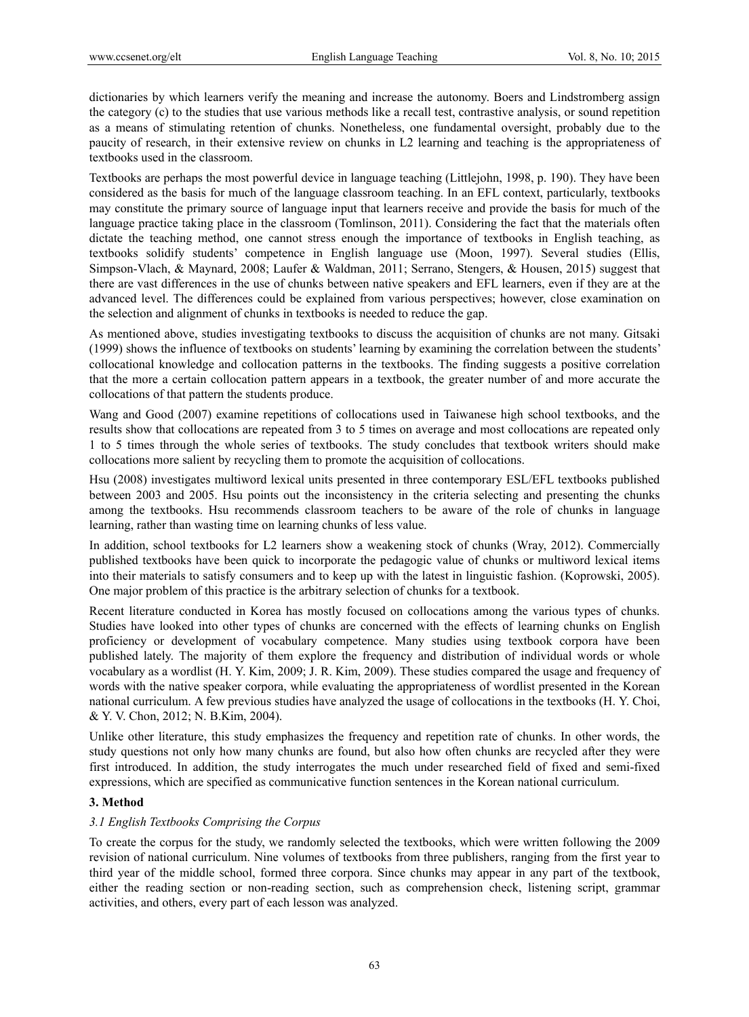dictionaries by which learners verify the meaning and increase the autonomy. Boers and Lindstromberg assign the category (c) to the studies that use various methods like a recall test, contrastive analysis, or sound repetition as a means of stimulating retention of chunks. Nonetheless, one fundamental oversight, probably due to the paucity of research, in their extensive review on chunks in L2 learning and teaching is the appropriateness of textbooks used in the classroom.

Textbooks are perhaps the most powerful device in language teaching (Littlejohn, 1998, p. 190). They have been considered as the basis for much of the language classroom teaching. In an EFL context, particularly, textbooks may constitute the primary source of language input that learners receive and provide the basis for much of the language practice taking place in the classroom (Tomlinson, 2011). Considering the fact that the materials often dictate the teaching method, one cannot stress enough the importance of textbooks in English teaching, as textbooks solidify students' competence in English language use (Moon, 1997). Several studies (Ellis, Simpson-Vlach, & Maynard, 2008; Laufer & Waldman, 2011; Serrano, Stengers, & Housen, 2015) suggest that there are vast differences in the use of chunks between native speakers and EFL learners, even if they are at the advanced level. The differences could be explained from various perspectives; however, close examination on the selection and alignment of chunks in textbooks is needed to reduce the gap.

As mentioned above, studies investigating textbooks to discuss the acquisition of chunks are not many. Gitsaki (1999) shows the influence of textbooks on students' learning by examining the correlation between the students' collocational knowledge and collocation patterns in the textbooks. The finding suggests a positive correlation that the more a certain collocation pattern appears in a textbook, the greater number of and more accurate the collocations of that pattern the students produce.

Wang and Good (2007) examine repetitions of collocations used in Taiwanese high school textbooks, and the results show that collocations are repeated from 3 to 5 times on average and most collocations are repeated only 1 to 5 times through the whole series of textbooks. The study concludes that textbook writers should make collocations more salient by recycling them to promote the acquisition of collocations.

Hsu (2008) investigates multiword lexical units presented in three contemporary ESL/EFL textbooks published between 2003 and 2005. Hsu points out the inconsistency in the criteria selecting and presenting the chunks among the textbooks. Hsu recommends classroom teachers to be aware of the role of chunks in language learning, rather than wasting time on learning chunks of less value.

In addition, school textbooks for L2 learners show a weakening stock of chunks (Wray, 2012). Commercially published textbooks have been quick to incorporate the pedagogic value of chunks or multiword lexical items into their materials to satisfy consumers and to keep up with the latest in linguistic fashion. (Koprowski, 2005). One major problem of this practice is the arbitrary selection of chunks for a textbook.

Recent literature conducted in Korea has mostly focused on collocations among the various types of chunks. Studies have looked into other types of chunks are concerned with the effects of learning chunks on English proficiency or development of vocabulary competence. Many studies using textbook corpora have been published lately. The majority of them explore the frequency and distribution of individual words or whole vocabulary as a wordlist (H. Y. Kim, 2009; J. R. Kim, 2009). These studies compared the usage and frequency of words with the native speaker corpora, while evaluating the appropriateness of wordlist presented in the Korean national curriculum. A few previous studies have analyzed the usage of collocations in the textbooks (H. Y. Choi, & Y. V. Chon, 2012; N. B.Kim, 2004).

Unlike other literature, this study emphasizes the frequency and repetition rate of chunks. In other words, the study questions not only how many chunks are found, but also how often chunks are recycled after they were first introduced. In addition, the study interrogates the much under researched field of fixed and semi-fixed expressions, which are specified as communicative function sentences in the Korean national curriculum.

# **3. Method**

# *3.1 English Textbooks Comprising the Corpus*

To create the corpus for the study, we randomly selected the textbooks, which were written following the 2009 revision of national curriculum. Nine volumes of textbooks from three publishers, ranging from the first year to third year of the middle school, formed three corpora. Since chunks may appear in any part of the textbook, either the reading section or non-reading section, such as comprehension check, listening script, grammar activities, and others, every part of each lesson was analyzed.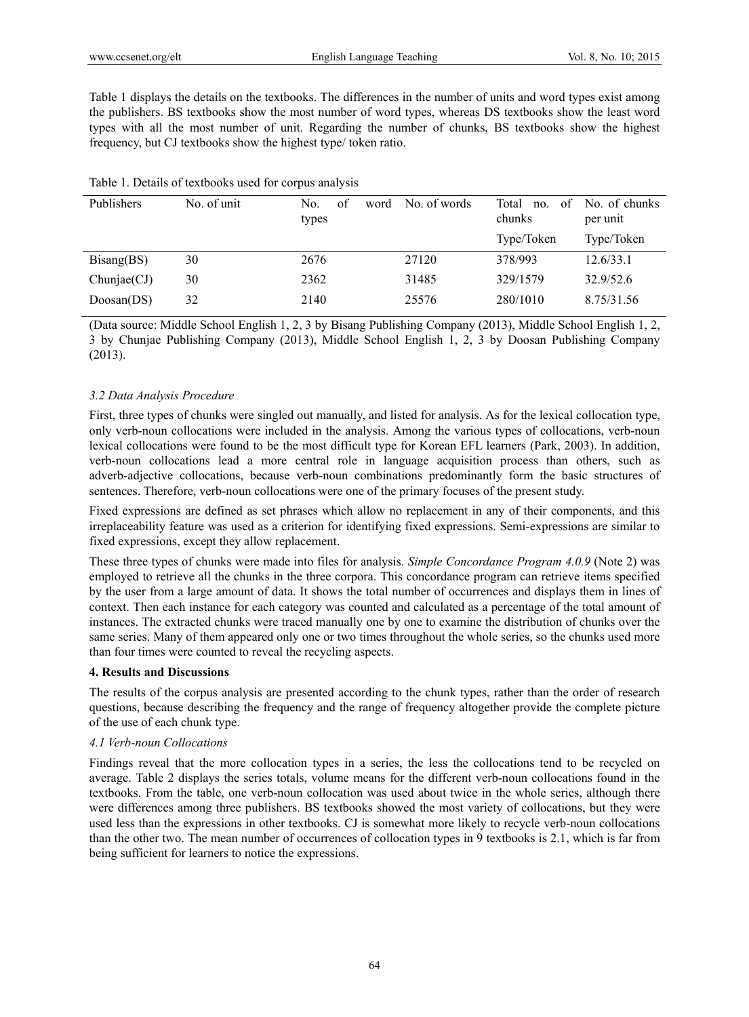Table 1 displays the details on the textbooks. The differences in the number of units and word types exist among the publishers. BS textbooks show the most number of word types, whereas DS textbooks show the least word types with all the most number of unit. Regarding the number of chunks, BS textbooks show the highest frequency, but CJ textbooks show the highest type/ token ratio.

| <b>Publishers</b> | No. of unit | of<br>No.<br>word<br>types | No. of words | Total<br>of<br>no.<br>chunks | No. of chunks<br>per unit |
|-------------------|-------------|----------------------------|--------------|------------------------------|---------------------------|
|                   |             |                            |              | Type/Token                   | Type/Token                |
| Bisang(BS)        | 30          | 2676                       | 27120        | 378/993                      | 12.6/33.1                 |
| Chuniae(CJ)       | 30          | 2362                       | 31485        | 329/1579                     | 32.9/52.6                 |
| Dosan(DS)         | 32          | 2140                       | 25576        | 280/1010                     | 8.75/31.56                |

|  | Table 1. Details of textbooks used for corpus analysis |  |  |
|--|--------------------------------------------------------|--|--|
|  |                                                        |  |  |

(Data source: Middle School English 1, 2, 3 by Bisang Publishing Company (2013), Middle School English 1, 2, 3 by Chunjae Publishing Company (2013), Middle School English 1, 2, 3 by Doosan Publishing Company (2013).

# *3.2 Data Analysis Procedure*

First, three types of chunks were singled out manually, and listed for analysis. As for the lexical collocation type, only verb-noun collocations were included in the analysis. Among the various types of collocations, verb-noun lexical collocations were found to be the most difficult type for Korean EFL learners (Park, 2003). In addition, verb-noun collocations lead a more central role in language acquisition process than others, such as adverb-adjective collocations, because verb-noun combinations predominantly form the basic structures of sentences. Therefore, verb-noun collocations were one of the primary focuses of the present study.

Fixed expressions are defined as set phrases which allow no replacement in any of their components, and this irreplaceability feature was used as a criterion for identifying fixed expressions. Semi-expressions are similar to fixed expressions, except they allow replacement.

These three types of chunks were made into files for analysis. *Simple Concordance Program 4.0.9* (Note 2) was employed to retrieve all the chunks in the three corpora. This concordance program can retrieve items specified by the user from a large amount of data. It shows the total number of occurrences and displays them in lines of context. Then each instance for each category was counted and calculated as a percentage of the total amount of instances. The extracted chunks were traced manually one by one to examine the distribution of chunks over the same series. Many of them appeared only one or two times throughout the whole series, so the chunks used more than four times were counted to reveal the recycling aspects.

# **4. Results and Discussions**

The results of the corpus analysis are presented according to the chunk types, rather than the order of research questions, because describing the frequency and the range of frequency altogether provide the complete picture of the use of each chunk type.

# *4.1 Verb-noun Collocations*

Findings reveal that the more collocation types in a series, the less the collocations tend to be recycled on average. Table 2 displays the series totals, volume means for the different verb-noun collocations found in the textbooks. From the table, one verb-noun collocation was used about twice in the whole series, although there were differences among three publishers. BS textbooks showed the most variety of collocations, but they were used less than the expressions in other textbooks. CJ is somewhat more likely to recycle verb-noun collocations than the other two. The mean number of occurrences of collocation types in 9 textbooks is 2.1, which is far from being sufficient for learners to notice the expressions.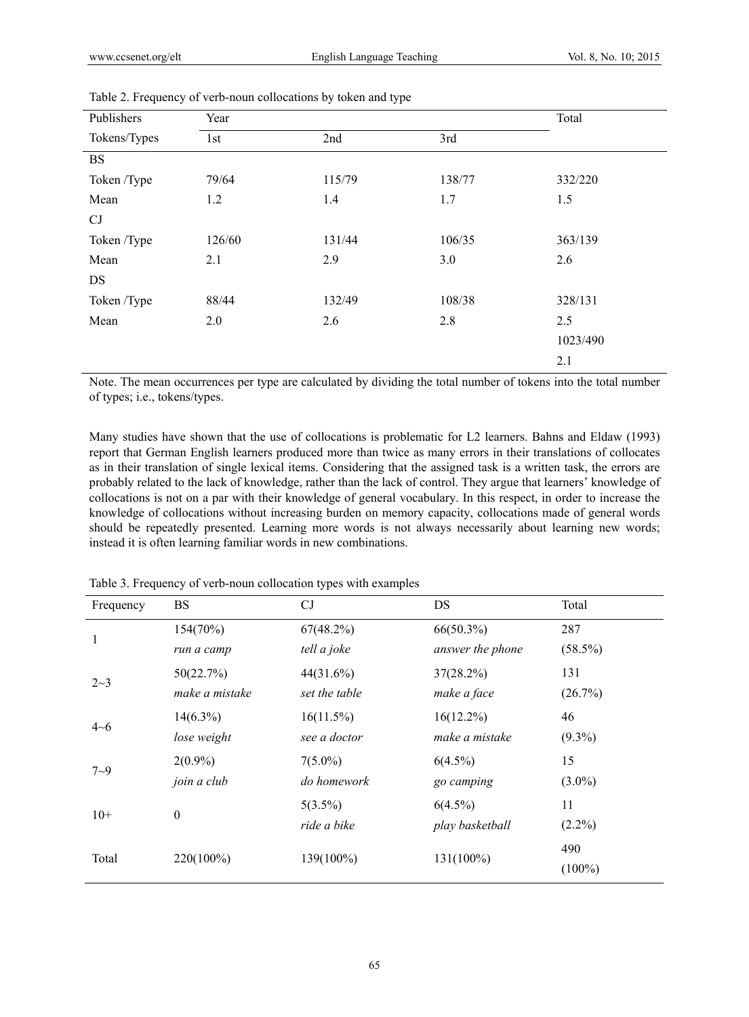| Publishers   | Year   |        |        | Total    |
|--------------|--------|--------|--------|----------|
| Tokens/Types | 1st    | 2nd    | 3rd    |          |
| <b>BS</b>    |        |        |        |          |
| Token /Type  | 79/64  | 115/79 | 138/77 | 332/220  |
| Mean         | 1.2    | 1.4    | 1.7    | 1.5      |
| CJ           |        |        |        |          |
| Token /Type  | 126/60 | 131/44 | 106/35 | 363/139  |
| Mean         | 2.1    | 2.9    | 3.0    | 2.6      |
| DS           |        |        |        |          |
| Token /Type  | 88/44  | 132/49 | 108/38 | 328/131  |
| Mean         | 2.0    | 2.6    | 2.8    | 2.5      |
|              |        |        |        | 1023/490 |
|              |        |        |        | 2.1      |

| Table 2. Frequency of verb-noun collocations by token and type |  |  |
|----------------------------------------------------------------|--|--|
|                                                                |  |  |

Note. The mean occurrences per type are calculated by dividing the total number of tokens into the total number of types; i.e., tokens/types.

Many studies have shown that the use of collocations is problematic for L2 learners. Bahns and Eldaw (1993) report that German English learners produced more than twice as many errors in their translations of collocates as in their translation of single lexical items. Considering that the assigned task is a written task, the errors are probably related to the lack of knowledge, rather than the lack of control. They argue that learners' knowledge of collocations is not on a par with their knowledge of general vocabulary. In this respect, in order to increase the knowledge of collocations without increasing burden on memory capacity, collocations made of general words should be repeatedly presented. Learning more words is not always necessarily about learning new words; instead it is often learning familiar words in new combinations.

| Frequency | <b>BS</b>        | CJ            | DS               | Total      |
|-----------|------------------|---------------|------------------|------------|
| 1         | 154(70%)         | $67(48.2\%)$  | $66(50.3\%)$     | 287        |
|           | run a camp       | tell a joke   | answer the phone | $(58.5\%)$ |
|           | 50(22.7%)        | 44(31.6%)     | $37(28.2\%)$     | 131        |
| $2 - 3$   | make a mistake   | set the table | make a face      | (26.7%)    |
|           | $14(6.3\%)$      | $16(11.5\%)$  | $16(12.2\%)$     | 46         |
| $4 - 6$   | lose weight      | see a doctor  | make a mistake   | $(9.3\%)$  |
|           | $2(0.9\%)$       | $7(5.0\%)$    | $6(4.5\%)$       | 15         |
| $7 - 9$   | join a club      | do homework   | go camping       | $(3.0\%)$  |
| $10+$     | $\boldsymbol{0}$ | $5(3.5\%)$    | $6(4.5\%)$       | 11         |
|           |                  | ride a bike   | play basketball  | $(2.2\%)$  |
| Total     | 220(100%)        | 139(100%)     | $131(100\%)$     | 490        |
|           |                  |               |                  | $(100\%)$  |

Table 3. Frequency of verb-noun collocation types with examples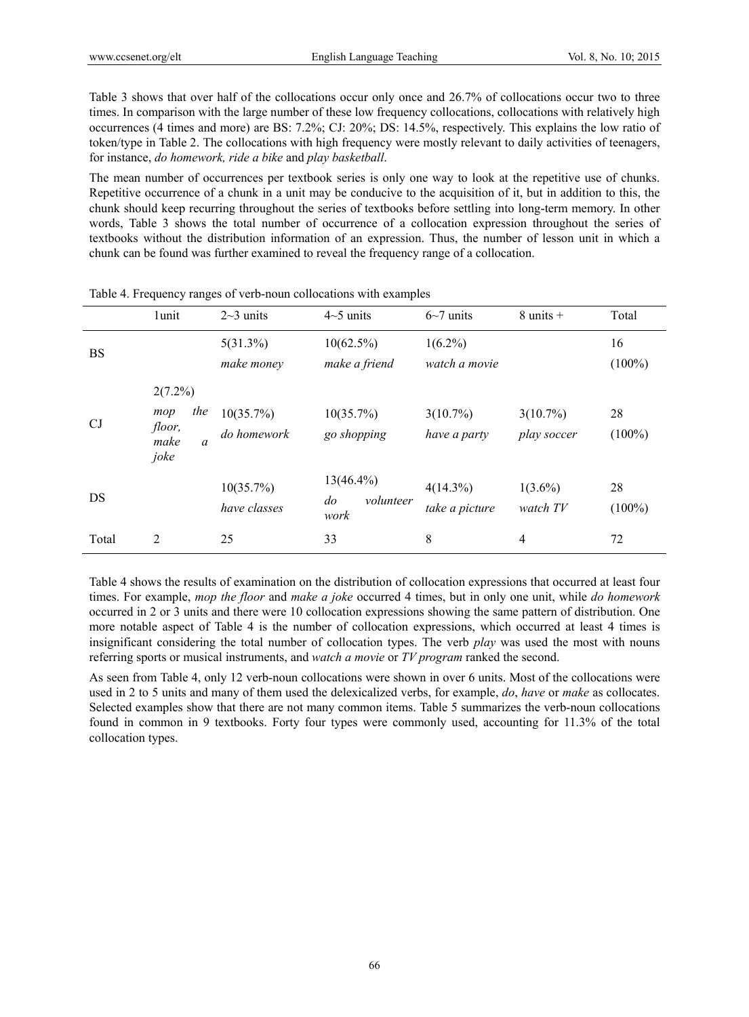Table 3 shows that over half of the collocations occur only once and 26.7% of collocations occur two to three times. In comparison with the large number of these low frequency collocations, collocations with relatively high occurrences (4 times and more) are BS: 7.2%; CJ: 20%; DS: 14.5%, respectively. This explains the low ratio of token/type in Table 2. The collocations with high frequency were mostly relevant to daily activities of teenagers, for instance, *do homework, ride a bike* and *play basketball*.

The mean number of occurrences per textbook series is only one way to look at the repetitive use of chunks. Repetitive occurrence of a chunk in a unit may be conducive to the acquisition of it, but in addition to this, the chunk should keep recurring throughout the series of textbooks before settling into long-term memory. In other words, Table 3 shows the total number of occurrence of a collocation expression throughout the series of textbooks without the distribution information of an expression. Thus, the number of lesson unit in which a chunk can be found was further examined to reveal the frequency range of a collocation.

|           | 1unit                                                          | $2\sim3$ units            | $4\sim$ 5 units                                | $6\text{-}7$ units            | $8$ units $+$              | Total           |
|-----------|----------------------------------------------------------------|---------------------------|------------------------------------------------|-------------------------------|----------------------------|-----------------|
| <b>BS</b> |                                                                | $5(31.3\%)$<br>make money | $10(62.5\%)$<br>make a friend                  | $1(6.2\%)$<br>watch a movie   |                            | 16<br>$(100\%)$ |
| CJ        | $2(7.2\%)$<br>the<br>mop<br>floor,<br>make<br>$\alpha$<br>joke | 10(35.7%)<br>do homework  | 10(35.7%)<br>go shopping                       | $3(10.7\%)$<br>have a party   | $3(10.7\%)$<br>play soccer | 28<br>$(100\%)$ |
| DS        |                                                                | 10(35.7%)<br>have classes | $13(46.4\%)$<br>$d\sigma$<br>volunteer<br>work | $4(14.3\%)$<br>take a picture | $1(3.6\%)$<br>watch TV     | 28<br>$(100\%)$ |
| Total     | 2                                                              | 25                        | 33                                             | 8                             | 4                          | 72              |

Table 4. Frequency ranges of verb-noun collocations with examples

Table 4 shows the results of examination on the distribution of collocation expressions that occurred at least four times. For example, *mop the floor* and *make a joke* occurred 4 times, but in only one unit, while *do homework* occurred in 2 or 3 units and there were 10 collocation expressions showing the same pattern of distribution. One more notable aspect of Table 4 is the number of collocation expressions, which occurred at least 4 times is insignificant considering the total number of collocation types. The verb *play* was used the most with nouns referring sports or musical instruments, and *watch a movie* or *TV program* ranked the second.

As seen from Table 4, only 12 verb-noun collocations were shown in over 6 units. Most of the collocations were used in 2 to 5 units and many of them used the delexicalized verbs, for example, *do*, *have* or *make* as collocates. Selected examples show that there are not many common items. Table 5 summarizes the verb-noun collocations found in common in 9 textbooks. Forty four types were commonly used, accounting for 11.3% of the total collocation types.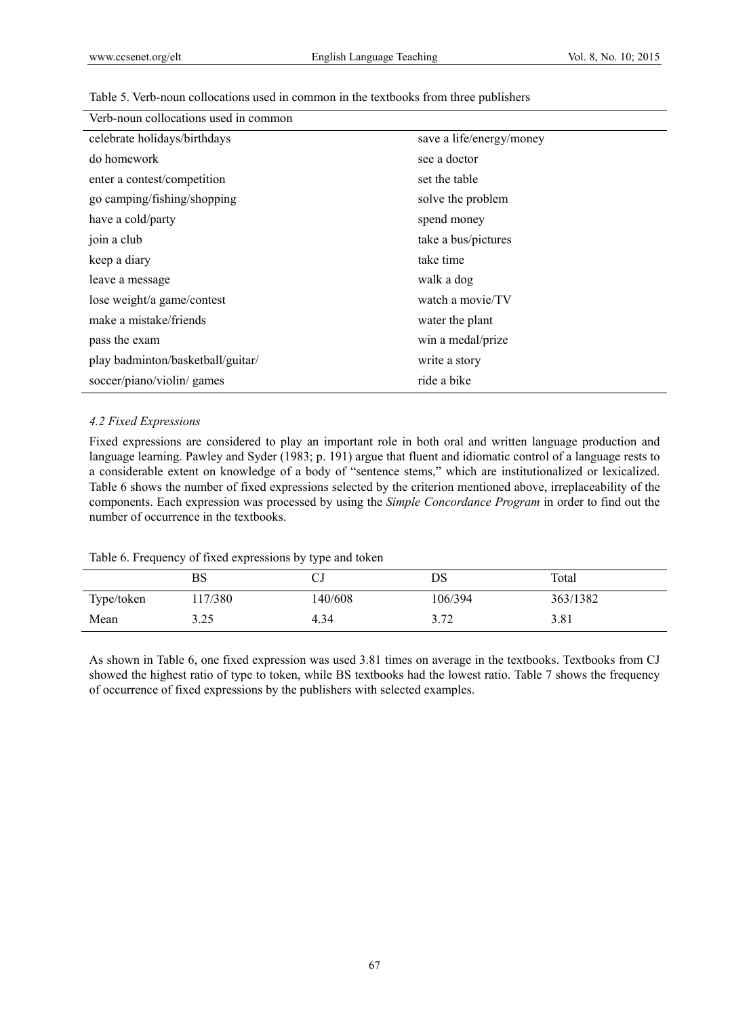| Verb-noun collocations used in common |                          |
|---------------------------------------|--------------------------|
| celebrate holidays/birthdays          | save a life/energy/money |
| do homework                           | see a doctor             |
| enter a contest/competition           | set the table            |
| go camping/fishing/shopping           | solve the problem        |
| have a cold/party                     | spend money              |
| join a club                           | take a bus/pictures      |
| keep a diary                          | take time                |
| leave a message                       | walk a dog               |
| lose weight/a game/contest            | watch a movie/TV         |
| make a mistake/friends                | water the plant          |
| pass the exam                         | win a medal/prize        |
| play badminton/basketball/guitar/     | write a story            |
| soccer/piano/violin/ games            | ride a bike              |

#### Table 5. Verb-noun collocations used in common in the textbooks from three publishers

#### *4.2 Fixed Expressions*

Fixed expressions are considered to play an important role in both oral and written language production and language learning. Pawley and Syder (1983; p. 191) argue that fluent and idiomatic control of a language rests to a considerable extent on knowledge of a body of "sentence stems," which are institutionalized or lexicalized. Table 6 shows the number of fixed expressions selected by the criterion mentioned above, irreplaceability of the components. Each expression was processed by using the *Simple Concordance Program* in order to find out the number of occurrence in the textbooks.

Table 6. Frequency of fixed expressions by type and token

|            | BS     | w       | DS          | Total    |
|------------|--------|---------|-------------|----------|
| Type/token | 17/380 | 140/608 | 106/394     | 363/1382 |
| Mean       | 3.25   | 4.34    | 277<br>J.IL | 3.81     |

As shown in Table 6, one fixed expression was used 3.81 times on average in the textbooks. Textbooks from CJ showed the highest ratio of type to token, while BS textbooks had the lowest ratio. Table 7 shows the frequency of occurrence of fixed expressions by the publishers with selected examples.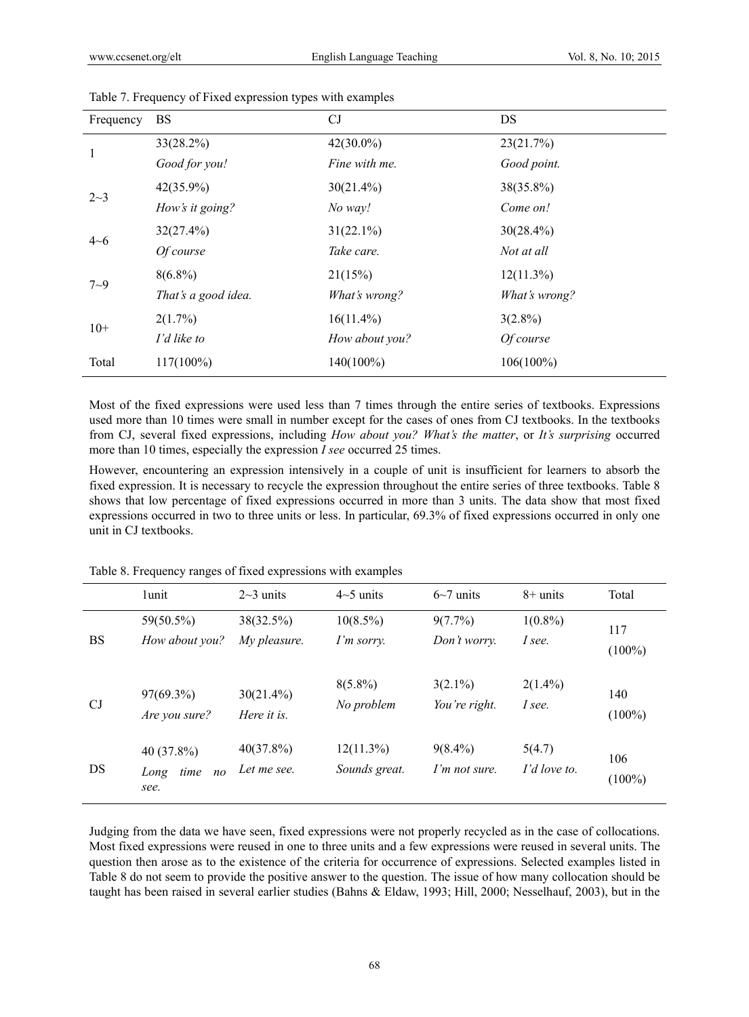| Frequency    | BS                  | CJ             | DS            |
|--------------|---------------------|----------------|---------------|
| $\mathbf{1}$ | 33(28.2%)           | $42(30.0\%)$   | 23(21.7%)     |
|              | Good for you!       | Fine with me.  | Good point.   |
| $2 - 3$      | $42(35.9\%)$        | $30(21.4\%)$   | 38(35.8%)     |
|              | How's it going?     | No way!        | Come on!      |
|              | $32(27.4\%)$        | $31(22.1\%)$   | $30(28.4\%)$  |
| $4 - 6$      | Of course           | Take care.     | Not at all    |
|              | $8(6.8\%)$          | 21(15%)        | $12(11.3\%)$  |
| $7 - 9$      | That's a good idea. | What's wrong?  | What's wrong? |
| $10+$        | $2(1.7\%)$          | $16(11.4\%)$   | $3(2.8\%)$    |
|              | I'd like to         | How about you? | Of course     |
| Total        | $117(100\%)$        | $140(100\%)$   | $106(100\%)$  |

Table 7. Frequency of Fixed expression types with examples

Most of the fixed expressions were used less than 7 times through the entire series of textbooks. Expressions used more than 10 times were small in number except for the cases of ones from CJ textbooks. In the textbooks from CJ, several fixed expressions, including *How about you? What's the matter*, or *It's surprising* occurred more than 10 times, especially the expression *I see* occurred 25 times.

However, encountering an expression intensively in a couple of unit is insufficient for learners to absorb the fixed expression. It is necessary to recycle the expression throughout the entire series of three textbooks. Table 8 shows that low percentage of fixed expressions occurred in more than 3 units. The data show that most fixed expressions occurred in two to three units or less. In particular, 69.3% of fixed expressions occurred in only one unit in CJ textbooks.

|           | 1unit                                | $2\sim$ 3 units             | $4\sim$ 5 units               | $6\text{-}7$ units          | $8+$ units               | Total            |
|-----------|--------------------------------------|-----------------------------|-------------------------------|-----------------------------|--------------------------|------------------|
| <b>BS</b> | 59(50.5%)                            | 38(32.5%)                   | $10(8.5\%)$                   | $9(7.7\%)$                  | $1(0.8\%)$               | 117              |
|           | How about you?                       | My pleasure.                | I'm sorry.                    | Don't worry.                | I see.                   | $(100\%)$        |
| CJ        | $97(69.3\%)$                         | $30(21.4\%)$                | $8(5.8\%)$                    | $3(2.1\%)$                  | $2(1.4\%)$               | 140              |
|           | Are you sure?                        | Here it is.                 | No problem                    | You're right.               | I see.                   | $(100\%)$        |
| DS        | 40(37.8%)<br>time no<br>Long<br>see. | $40(37.8\%)$<br>Let me see. | $12(11.3\%)$<br>Sounds great. | $9(8.4\%)$<br>I'm not sure. | 5(4.7)<br>$I'd$ love to. | 106<br>$(100\%)$ |

Table 8. Frequency ranges of fixed expressions with examples

Judging from the data we have seen, fixed expressions were not properly recycled as in the case of collocations. Most fixed expressions were reused in one to three units and a few expressions were reused in several units. The question then arose as to the existence of the criteria for occurrence of expressions. Selected examples listed in Table 8 do not seem to provide the positive answer to the question. The issue of how many collocation should be taught has been raised in several earlier studies (Bahns & Eldaw, 1993; Hill, 2000; Nesselhauf, 2003), but in the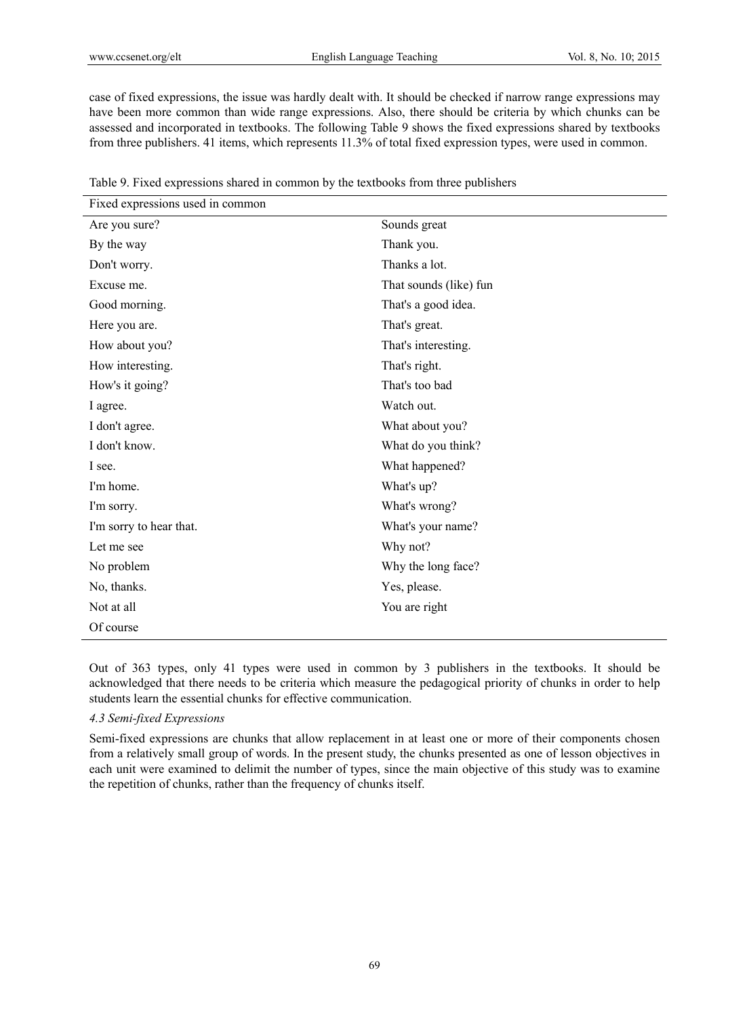case of fixed expressions, the issue was hardly dealt with. It should be checked if narrow range expressions may have been more common than wide range expressions. Also, there should be criteria by which chunks can be assessed and incorporated in textbooks. The following Table 9 shows the fixed expressions shared by textbooks from three publishers. 41 items, which represents 11.3% of total fixed expression types, were used in common.

| Fixed expressions used in common |                        |
|----------------------------------|------------------------|
| Are you sure?                    | Sounds great           |
| By the way                       | Thank you.             |
| Don't worry.                     | Thanks a lot.          |
| Excuse me.                       | That sounds (like) fun |
| Good morning.                    | That's a good idea.    |
| Here you are.                    | That's great.          |
| How about you?                   | That's interesting.    |
| How interesting.                 | That's right.          |
| How's it going?                  | That's too bad         |
| I agree.                         | Watch out.             |
| I don't agree.                   | What about you?        |
| I don't know.                    | What do you think?     |
| I see.                           | What happened?         |
| I'm home.                        | What's up?             |
| I'm sorry.                       | What's wrong?          |
| I'm sorry to hear that.          | What's your name?      |
| Let me see                       | Why not?               |
| No problem                       | Why the long face?     |
| No, thanks.                      | Yes, please.           |
| Not at all                       | You are right          |
| Of course                        |                        |

Table 9. Fixed expressions shared in common by the textbooks from three publishers

Out of 363 types, only 41 types were used in common by 3 publishers in the textbooks. It should be acknowledged that there needs to be criteria which measure the pedagogical priority of chunks in order to help students learn the essential chunks for effective communication.

# *4.3 Semi-fixed Expressions*

Semi-fixed expressions are chunks that allow replacement in at least one or more of their components chosen from a relatively small group of words. In the present study, the chunks presented as one of lesson objectives in each unit were examined to delimit the number of types, since the main objective of this study was to examine the repetition of chunks, rather than the frequency of chunks itself.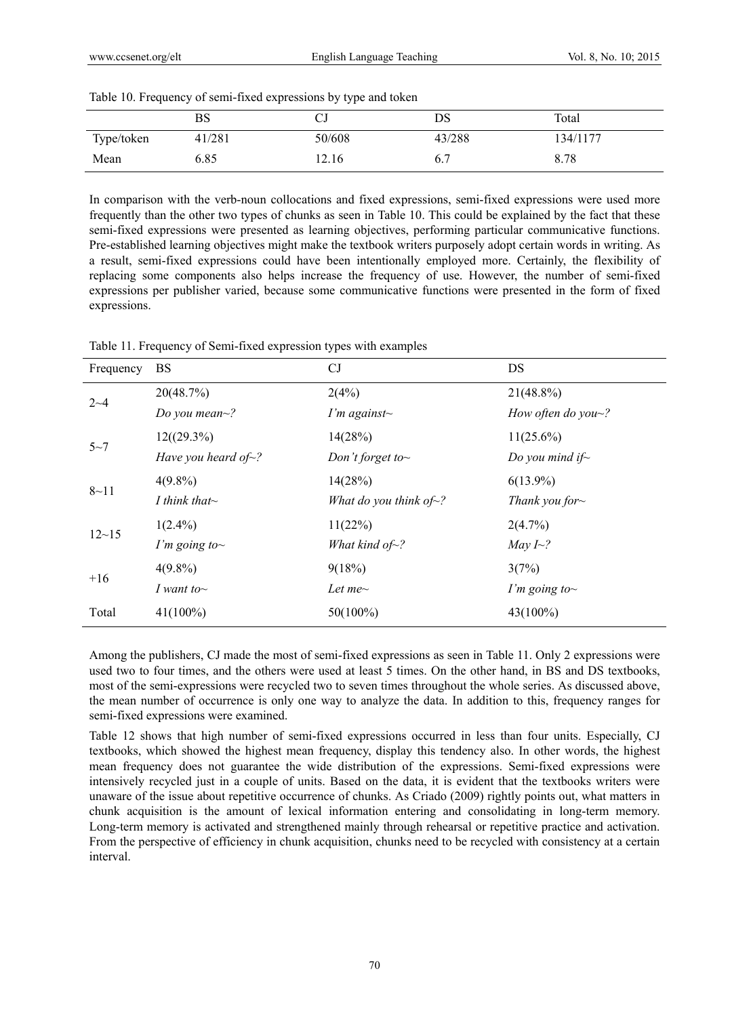|            | BS     | w      | DS     | Total    |
|------------|--------|--------|--------|----------|
| Type/token | 41/281 | 50/608 | 43/288 | 134/1177 |
| Mean       | 6.85   | 12.16  | 6.1    | 8.78     |

Table 10. Frequency of semi-fixed expressions by type and token

In comparison with the verb-noun collocations and fixed expressions, semi-fixed expressions were used more frequently than the other two types of chunks as seen in Table 10. This could be explained by the fact that these semi-fixed expressions were presented as learning objectives, performing particular communicative functions. Pre-established learning objectives might make the textbook writers purposely adopt certain words in writing. As a result, semi-fixed expressions could have been intentionally employed more. Certainly, the flexibility of replacing some components also helps increase the frequency of use. However, the number of semi-fixed expressions per publisher varied, because some communicative functions were presented in the form of fixed expressions.

| Frequency | BS                         | $C_{\rm J}$                   | DS                        |
|-----------|----------------------------|-------------------------------|---------------------------|
| $2 - 4$   | 20(48.7%)                  | 2(4%)                         | $21(48.8\%)$              |
|           | Do you mean $\sim$ ?       | $I'm$ against~                | How often do you $\sim$ ? |
| $5 - 7$   | 12((29.3%)                 | 14(28%)                       | $11(25.6\%)$              |
|           | Have you heard of $\sim$ ? | Don't forget to $\sim$        | Do you mind if~           |
| $8 - 11$  | $4(9.8\%)$                 | 14(28%)                       | $6(13.9\%)$               |
|           | I think that $\sim$        | What do you think of $\sim$ ? | Thank you for $\sim$      |
| $12 - 15$ | $1(2.4\%)$                 | 11(22%)                       | $2(4.7\%)$                |
|           | I'm going to $\sim$        | What kind of $\sim$ ?         | May I~2                   |
| $+16$     | $4(9.8\%)$                 | 9(18%)                        | 3(7%)                     |
|           | I want to $\sim$           | Let me $\sim$                 | I'm going to~             |
| Total     | $41(100\%)$                | $50(100\%)$                   | 43(100%)                  |

Table 11. Frequency of Semi-fixed expression types with examples

Among the publishers, CJ made the most of semi-fixed expressions as seen in Table 11. Only 2 expressions were used two to four times, and the others were used at least 5 times. On the other hand, in BS and DS textbooks, most of the semi-expressions were recycled two to seven times throughout the whole series. As discussed above, the mean number of occurrence is only one way to analyze the data. In addition to this, frequency ranges for semi-fixed expressions were examined.

Table 12 shows that high number of semi-fixed expressions occurred in less than four units. Especially, CJ textbooks, which showed the highest mean frequency, display this tendency also. In other words, the highest mean frequency does not guarantee the wide distribution of the expressions. Semi-fixed expressions were intensively recycled just in a couple of units. Based on the data, it is evident that the textbooks writers were unaware of the issue about repetitive occurrence of chunks. As Criado (2009) rightly points out, what matters in chunk acquisition is the amount of lexical information entering and consolidating in long-term memory. Long-term memory is activated and strengthened mainly through rehearsal or repetitive practice and activation. From the perspective of efficiency in chunk acquisition, chunks need to be recycled with consistency at a certain interval.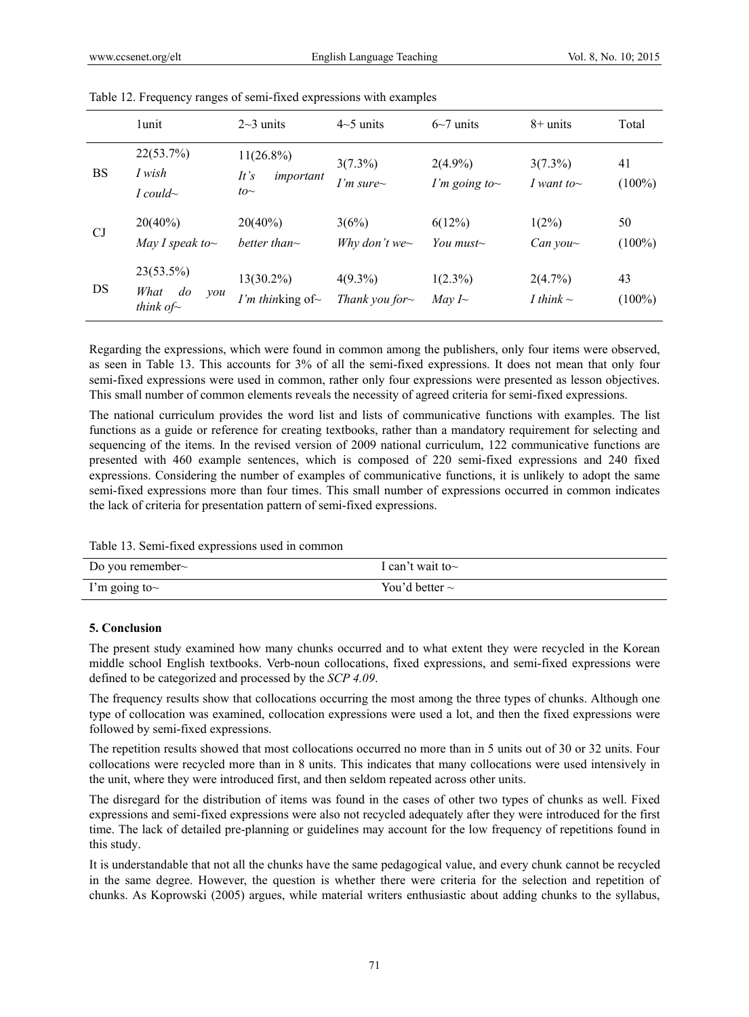|           | 1 unit                                               | $2\sim$ 3 units                               | $4\sim$ 5 units                       | $6\sim$ 7 units                   | $8+$ units                     | Total           |
|-----------|------------------------------------------------------|-----------------------------------------------|---------------------------------------|-----------------------------------|--------------------------------|-----------------|
| <b>BS</b> | 22(53.7%)<br>I wish<br>I could~                      | $11(26.8\%)$<br>It's<br>important<br>$to\sim$ | $3(7.3\%)$<br>$\Gamma$ <i>m</i> sure~ | $2(4.9\%)$<br>I'm going to $\sim$ | $3(7.3\%)$<br>I want to $\sim$ | 41<br>$(100\%)$ |
| <b>CJ</b> | $20(40\%)$<br>May I speak to $\sim$                  | $20(40\%)$<br>better than $\sim$              | 3(6%)<br>Why don't we~                | 6(12%)<br>You must~               | $1(2\%)$<br>Can you $\sim$     | 50<br>$(100\%)$ |
| DS        | $23(53.5\%)$<br>What<br>do<br>you<br>think of $\sim$ | $13(30.2\%)$<br>I'm thinking of~              | $4(9.3\%)$<br>Thank you for $\sim$    | $1(2.3\%)$<br>May I~              | 2(4.7%)<br>I think $\sim$      | 43<br>$(100\%)$ |

Table 12. Frequency ranges of semi-fixed expressions with examples

Regarding the expressions, which were found in common among the publishers, only four items were observed, as seen in Table 13. This accounts for 3% of all the semi-fixed expressions. It does not mean that only four semi-fixed expressions were used in common, rather only four expressions were presented as lesson objectives. This small number of common elements reveals the necessity of agreed criteria for semi-fixed expressions.

The national curriculum provides the word list and lists of communicative functions with examples. The list functions as a guide or reference for creating textbooks, rather than a mandatory requirement for selecting and sequencing of the items. In the revised version of 2009 national curriculum, 122 communicative functions are presented with 460 example sentences, which is composed of 220 semi-fixed expressions and 240 fixed expressions. Considering the number of examples of communicative functions, it is unlikely to adopt the same semi-fixed expressions more than four times. This small number of expressions occurred in common indicates the lack of criteria for presentation pattern of semi-fixed expressions.

|  | Table 13. Semi-fixed expressions used in common |  |  |
|--|-------------------------------------------------|--|--|
|  |                                                 |  |  |
|  |                                                 |  |  |

| Do you remember~    | I can't wait to $\sim$ |
|---------------------|------------------------|
| I'm going to $\sim$ | You'd better $\sim$    |

#### **5. Conclusion**

The present study examined how many chunks occurred and to what extent they were recycled in the Korean middle school English textbooks. Verb-noun collocations, fixed expressions, and semi-fixed expressions were defined to be categorized and processed by the *SCP 4.09*.

The frequency results show that collocations occurring the most among the three types of chunks. Although one type of collocation was examined, collocation expressions were used a lot, and then the fixed expressions were followed by semi-fixed expressions.

The repetition results showed that most collocations occurred no more than in 5 units out of 30 or 32 units. Four collocations were recycled more than in 8 units. This indicates that many collocations were used intensively in the unit, where they were introduced first, and then seldom repeated across other units.

The disregard for the distribution of items was found in the cases of other two types of chunks as well. Fixed expressions and semi-fixed expressions were also not recycled adequately after they were introduced for the first time. The lack of detailed pre-planning or guidelines may account for the low frequency of repetitions found in this study.

It is understandable that not all the chunks have the same pedagogical value, and every chunk cannot be recycled in the same degree. However, the question is whether there were criteria for the selection and repetition of chunks. As Koprowski (2005) argues, while material writers enthusiastic about adding chunks to the syllabus,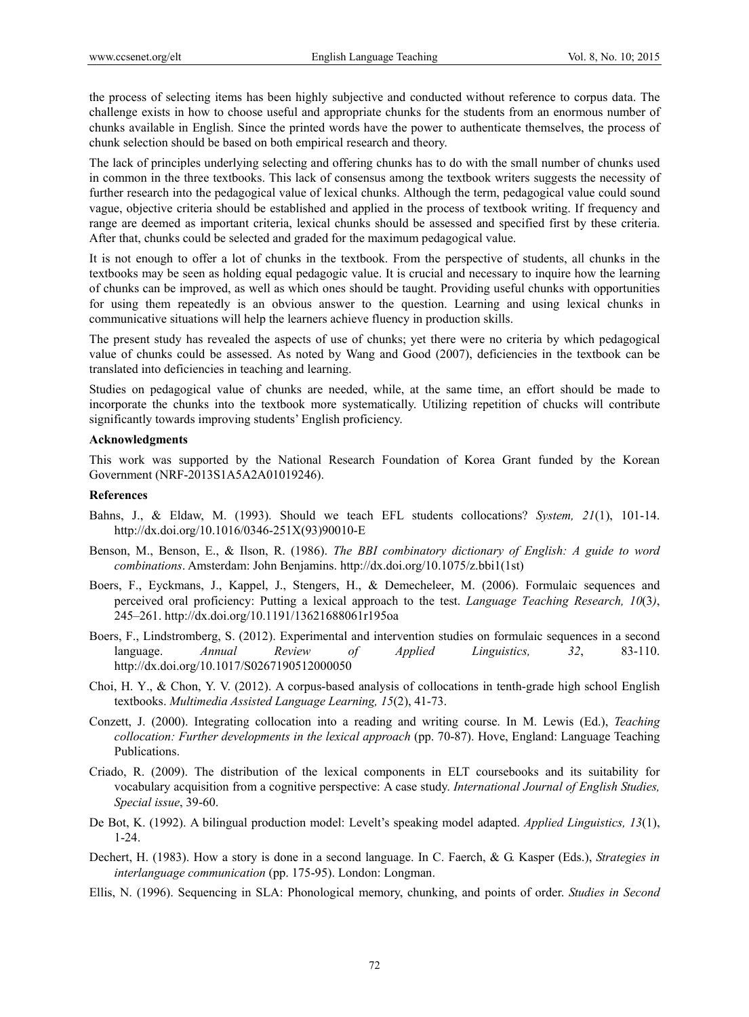the process of selecting items has been highly subjective and conducted without reference to corpus data. The challenge exists in how to choose useful and appropriate chunks for the students from an enormous number of chunks available in English. Since the printed words have the power to authenticate themselves, the process of chunk selection should be based on both empirical research and theory.

The lack of principles underlying selecting and offering chunks has to do with the small number of chunks used in common in the three textbooks. This lack of consensus among the textbook writers suggests the necessity of further research into the pedagogical value of lexical chunks. Although the term, pedagogical value could sound vague, objective criteria should be established and applied in the process of textbook writing. If frequency and range are deemed as important criteria, lexical chunks should be assessed and specified first by these criteria. After that, chunks could be selected and graded for the maximum pedagogical value.

It is not enough to offer a lot of chunks in the textbook. From the perspective of students, all chunks in the textbooks may be seen as holding equal pedagogic value. It is crucial and necessary to inquire how the learning of chunks can be improved, as well as which ones should be taught. Providing useful chunks with opportunities for using them repeatedly is an obvious answer to the question. Learning and using lexical chunks in communicative situations will help the learners achieve fluency in production skills.

The present study has revealed the aspects of use of chunks; yet there were no criteria by which pedagogical value of chunks could be assessed. As noted by Wang and Good (2007), deficiencies in the textbook can be translated into deficiencies in teaching and learning.

Studies on pedagogical value of chunks are needed, while, at the same time, an effort should be made to incorporate the chunks into the textbook more systematically. Utilizing repetition of chucks will contribute significantly towards improving students' English proficiency.

#### **Acknowledgments**

This work was supported by the National Research Foundation of Korea Grant funded by the Korean Government (NRF-2013S1A5A2A01019246).

#### **References**

- Bahns, J., & Eldaw, M. (1993). Should we teach EFL students collocations? *System, 21*(1), 101-14. http://dx.doi.org/10.1016/0346-251X(93)90010-E
- Benson, M., Benson, E., & Ilson, R. (1986). *The BBI combinatory dictionary of English: A guide to word combinations*. Amsterdam: John Benjamins. http://dx.doi.org/10.1075/z.bbi1(1st)
- Boers, F., Eyckmans, J., Kappel, J., Stengers, H., & Demecheleer, M. (2006). Formulaic sequences and perceived oral proficiency: Putting a lexical approach to the test. *Language Teaching Research, 10*(3*)*, 245–261. http://dx.doi.org/10.1191/13621688061r195oa
- Boers, F., Lindstromberg, S. (2012). Experimental and intervention studies on formulaic sequences in a second language. *Annual Review of Applied Linguistics, 32*, 83-110. http://dx.doi.org/10.1017/S0267190512000050
- Choi, H. Y., & Chon, Y. V. (2012). A corpus-based analysis of collocations in tenth-grade high school English textbooks. *Multimedia Assisted Language Learning, 15*(2), 41-73.
- Conzett, J. (2000). Integrating collocation into a reading and writing course. In M. Lewis (Ed.), *Teaching collocation: Further developments in the lexical approach* (pp. 70-87). Hove, England: Language Teaching Publications.
- Criado, R. (2009). The distribution of the lexical components in ELT coursebooks and its suitability for vocabulary acquisition from a cognitive perspective: A case study. *International Journal of English Studies, Special issue*, 39-60.
- De Bot, K. (1992). A bilingual production model: Levelt's speaking model adapted. *Applied Linguistics, 13*(1), 1-24.
- Dechert, H. (1983). How a story is done in a second language. In C. Faerch, & G. Kasper (Eds.), *Strategies in interlanguage communication* (pp. 175-95). London: Longman.
- Ellis, N. (1996). Sequencing in SLA: Phonological memory, chunking, and points of order. *Studies in Second*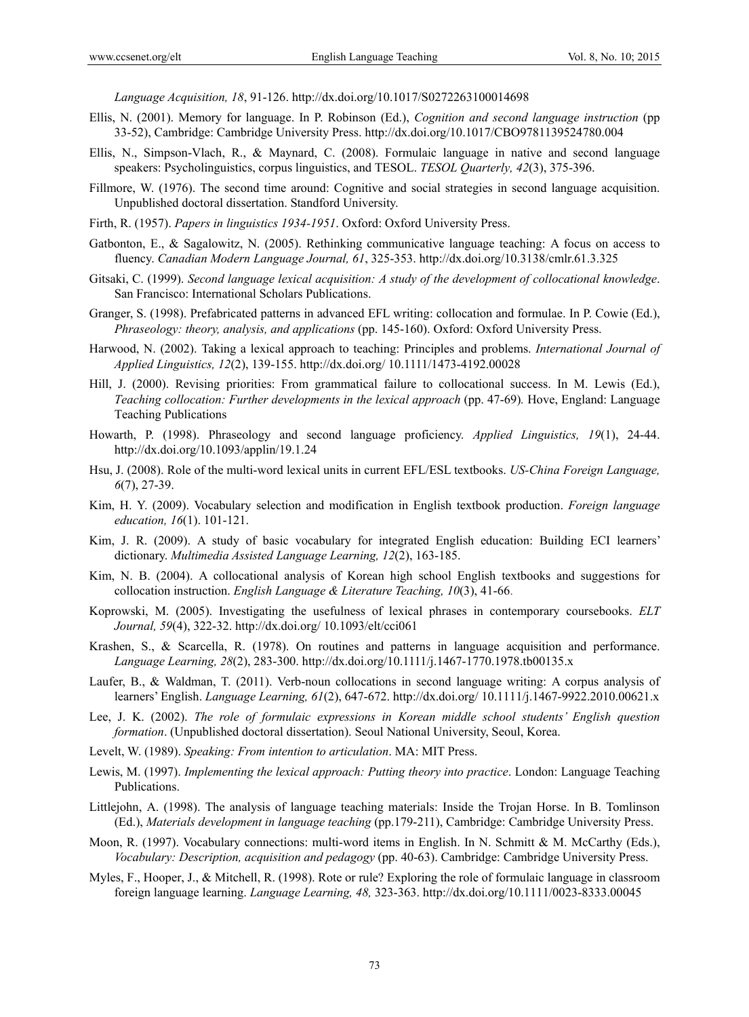*Language Acquisition, 18*, 91-126. http://dx.doi.org/10.1017/S0272263100014698

- Ellis, N. (2001). Memory for language. In P. Robinson (Ed.), *Cognition and second language instruction* (pp 33-52), Cambridge: Cambridge University Press. http://dx.doi.org/10.1017/CBO9781139524780.004
- Ellis, N., Simpson-Vlach, R., & Maynard, C. (2008). Formulaic language in native and second language speakers: Psycholinguistics, corpus linguistics, and TESOL. *TESOL Quarterly, 42*(3), 375-396.
- Fillmore, W. (1976). The second time around: Cognitive and social strategies in second language acquisition. Unpublished doctoral dissertation. Standford University.
- Firth, R. (1957). *Papers in linguistics 1934-1951*. Oxford: Oxford University Press.
- Gatbonton, E., & Sagalowitz, N. (2005). Rethinking communicative language teaching: A focus on access to fluency. *Canadian Modern Language Journal, 61*, 325-353. http://dx.doi.org/10.3138/cmlr.61.3.325
- Gitsaki, C. (1999). *Second language lexical acquisition: A study of the development of collocational knowledge*. San Francisco: International Scholars Publications.
- Granger, S. (1998). Prefabricated patterns in advanced EFL writing: collocation and formulae. In P. Cowie (Ed.), *Phraseology: theory, analysis, and applications* (pp. 145-160). Oxford: Oxford University Press.
- Harwood, N. (2002). Taking a lexical approach to teaching: Principles and problems. *International Journal of Applied Linguistics, 12*(2), 139-155. http://dx.doi.org/ 10.1111/1473-4192.00028
- Hill, J. (2000). Revising priorities: From grammatical failure to collocational success. In M. Lewis (Ed.), *Teaching collocation: Further developments in the lexical approach* (pp. 47-69)*.* Hove, England: Language Teaching Publications
- Howarth, P. (1998). Phraseology and second language proficiency. *Applied Linguistics, 19*(1), 24-44. http://dx.doi.org/10.1093/applin/19.1.24
- Hsu, J. (2008). Role of the multi-word lexical units in current EFL/ESL textbooks. *US-China Foreign Language, 6*(7), 27-39.
- Kim, H. Y. (2009). Vocabulary selection and modification in English textbook production. *Foreign language education, 16*(1). 101-121.
- Kim, J. R. (2009). A study of basic vocabulary for integrated English education: Building ECI learners' dictionary. *Multimedia Assisted Language Learning, 12*(2), 163-185.
- Kim, N. B. (2004). A collocational analysis of Korean high school English textbooks and suggestions for collocation instruction. *English Language & Literature Teaching, 10*(3), 41-66.
- Koprowski, M. (2005). Investigating the usefulness of lexical phrases in contemporary coursebooks. *ELT Journal, 59*(4), 322-32. http://dx.doi.org/ 10.1093/elt/cci061
- Krashen, S., & Scarcella, R. (1978). On routines and patterns in language acquisition and performance. *Language Learning, 28*(2), 283-300. http://dx.doi.org/10.1111/j.1467-1770.1978.tb00135.x
- Laufer, B., & Waldman, T. (2011). Verb-noun collocations in second language writing: A corpus analysis of learners' English. *Language Learning, 61*(2), 647-672. http://dx.doi.org/ 10.1111/j.1467-9922.2010.00621.x
- Lee, J. K. (2002). *The role of formulaic expressions in Korean middle school students' English question formation*. (Unpublished doctoral dissertation). Seoul National University, Seoul, Korea.
- Levelt, W. (1989). *Speaking: From intention to articulation*. MA: MIT Press.
- Lewis, M. (1997). *Implementing the lexical approach: Putting theory into practice*. London: Language Teaching Publications.
- Littlejohn, A. (1998). The analysis of language teaching materials: Inside the Trojan Horse. In B. Tomlinson (Ed.), *Materials development in language teaching* (pp.179-211), Cambridge: Cambridge University Press.
- Moon, R. (1997). Vocabulary connections: multi-word items in English. In N. Schmitt & M. McCarthy (Eds.), *Vocabulary: Description, acquisition and pedagogy* (pp. 40-63). Cambridge: Cambridge University Press.
- Myles, F., Hooper, J., & Mitchell, R. (1998). Rote or rule? Exploring the role of formulaic language in classroom foreign language learning. *Language Learning, 48,* 323-363. http://dx.doi.org/10.1111/0023-8333.00045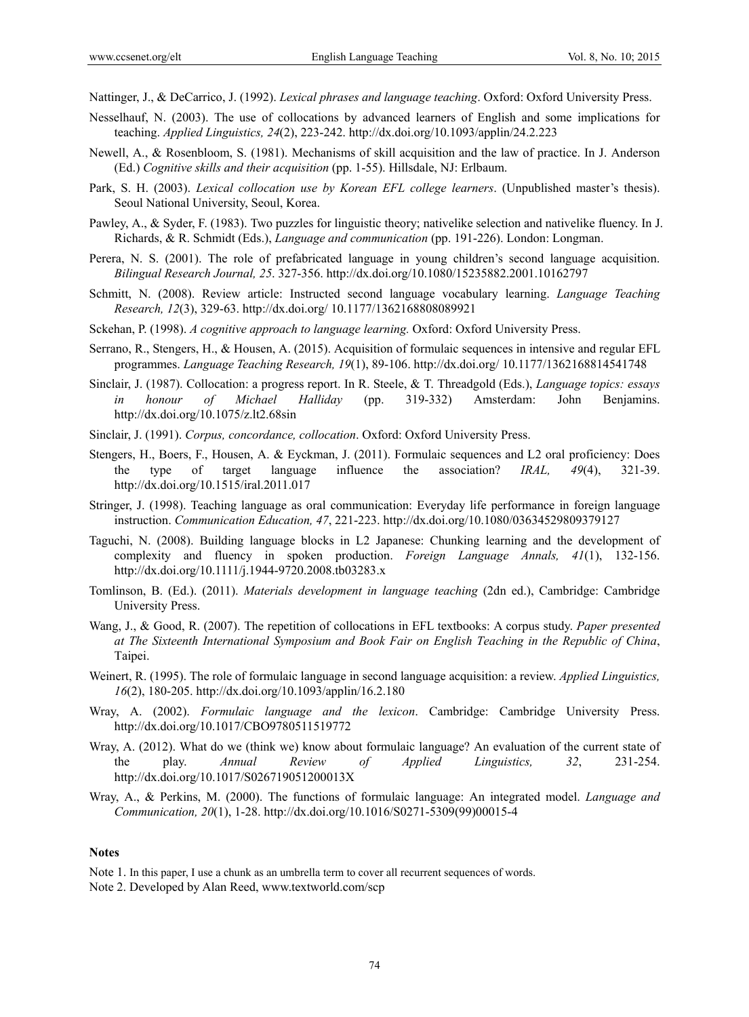Nattinger, J., & DeCarrico, J. (1992). *Lexical phrases and language teaching*. Oxford: Oxford University Press.

- Nesselhauf, N. (2003). The use of collocations by advanced learners of English and some implications for teaching. *Applied Linguistics, 24*(2), 223-242. http://dx.doi.org/10.1093/applin/24.2.223
- Newell, A., & Rosenbloom, S. (1981). Mechanisms of skill acquisition and the law of practice. In J. Anderson (Ed.) *Cognitive skills and their acquisition* (pp. 1-55). Hillsdale, NJ: Erlbaum.
- Park, S. H. (2003). *Lexical collocation use by Korean EFL college learners*. (Unpublished master's thesis). Seoul National University, Seoul, Korea.
- Pawley, A., & Syder, F. (1983). Two puzzles for linguistic theory; nativelike selection and nativelike fluency. In J. Richards, & R. Schmidt (Eds.), *Language and communication* (pp. 191-226). London: Longman.
- Perera, N. S. (2001). The role of prefabricated language in young children's second language acquisition. *Bilingual Research Journal, 25*. 327-356. http://dx.doi.org/10.1080/15235882.2001.10162797
- Schmitt, N. (2008). Review article: Instructed second language vocabulary learning. *Language Teaching Research, 12*(3), 329-63. http://dx.doi.org/ 10.1177/1362168808089921
- Sckehan, P. (1998). *A cognitive approach to language learning.* Oxford: Oxford University Press.
- Serrano, R., Stengers, H., & Housen, A. (2015). Acquisition of formulaic sequences in intensive and regular EFL programmes. *Language Teaching Research, 19*(1), 89-106. http://dx.doi.org/ 10.1177/1362168814541748
- Sinclair, J. (1987). Collocation: a progress report. In R. Steele, & T. Threadgold (Eds.), *Language topics: essays in honour of Michael Halliday* (pp. 319-332) Amsterdam: John Benjamins. http://dx.doi.org/10.1075/z.lt2.68sin
- Sinclair, J. (1991). *Corpus, concordance, collocation*. Oxford: Oxford University Press.
- Stengers, H., Boers, F., Housen, A. & Eyckman, J. (2011). Formulaic sequences and L2 oral proficiency: Does the type of target language influence the association? *IRAL, 49*(4), 321-39. http://dx.doi.org/10.1515/iral.2011.017
- Stringer, J. (1998). Teaching language as oral communication: Everyday life performance in foreign language instruction. *Communication Education, 47*, 221-223. http://dx.doi.org/10.1080/03634529809379127
- Taguchi, N. (2008). Building language blocks in L2 Japanese: Chunking learning and the development of complexity and fluency in spoken production. *Foreign Language Annals, 41*(1), 132-156. http://dx.doi.org/10.1111/j.1944-9720.2008.tb03283.x
- Tomlinson, B. (Ed.). (2011). *Materials development in language teaching* (2dn ed.), Cambridge: Cambridge University Press.
- Wang, J., & Good, R. (2007). The repetition of collocations in EFL textbooks: A corpus study. *Paper presented at The Sixteenth International Symposium and Book Fair on English Teaching in the Republic of China*, Taipei.
- Weinert, R. (1995). The role of formulaic language in second language acquisition: a review. *Applied Linguistics, 16*(2), 180-205. http://dx.doi.org/10.1093/applin/16.2.180
- Wray, A. (2002). *Formulaic language and the lexicon*. Cambridge: Cambridge University Press. http://dx.doi.org/10.1017/CBO9780511519772
- Wray, A. (2012). What do we (think we) know about formulaic language? An evaluation of the current state of the play. *Annual Review of Applied Linguistics, 32*, 231-254. http://dx.doi.org/10.1017/S026719051200013X
- Wray, A., & Perkins, M. (2000). The functions of formulaic language: An integrated model. *Language and Communication, 20*(1), 1-28. http://dx.doi.org/10.1016/S0271-5309(99)00015-4

#### **Notes**

- Note 1. In this paper, I use a chunk as an umbrella term to cover all recurrent sequences of words.
- Note 2. Developed by Alan Reed, www.textworld.com/scp